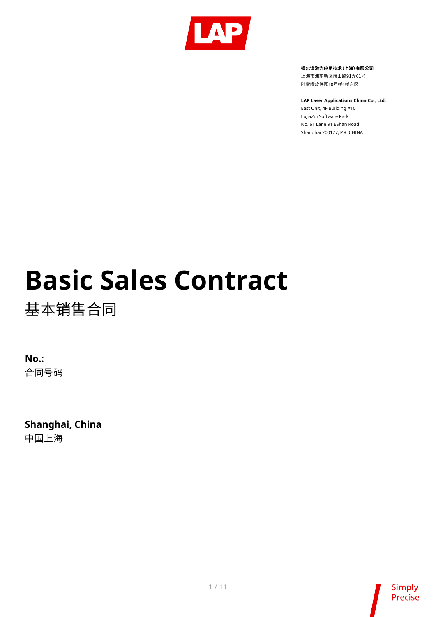

**镭尔谱激光应用技术(上海)有限公司**

上海市浦东新区峨山路91弄61号 陆家嘴软件园10号楼4楼东区

**LAP Laser Applications China Co., Ltd.**

East Unit, 4F Building #10 LuJiaZui Software Park No. 61 Lane 91 EShan Road Shanghai 200127, P.R. CHINA

# **Basic Sales Contract**

基本销售合同

**No.:** 合同号码

**Shanghai, China** 中国上海

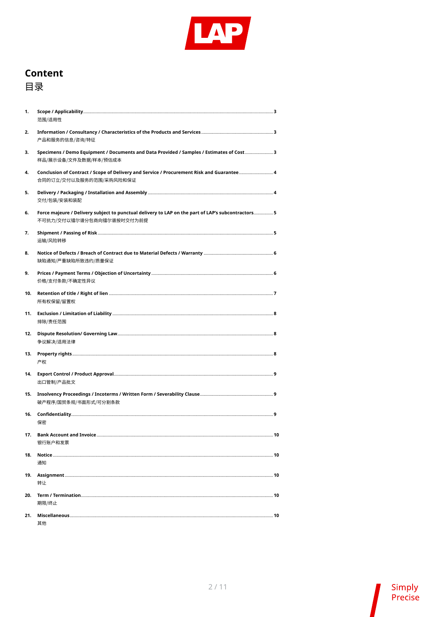

## **Content** 目录

| 1.  | 范围/适用性                                                                                                                         |  |
|-----|--------------------------------------------------------------------------------------------------------------------------------|--|
| 2.  | 产品和服务的信息/咨询/特征                                                                                                                 |  |
| 3.  | Specimens / Demo Equipment / Documents and Data Provided / Samples / Estimates of Cost 3<br>样品/展示设备/文件及数据/样本/预估成本              |  |
| 4.  | Conclusion of Contract / Scope of Delivery and Service / Procurement Risk and Guarantee 4<br>合同的订立/交付以及服务的范围/采购风险和保证           |  |
| 5.  | 交付/包装/安装和装配                                                                                                                    |  |
| 6.  | Force majeure / Delivery subject to punctual delivery to LAP on the part of LAP's subcontractors5<br>不可抗力/交付以镭尔谱分包商向镭尔谱按时交付为前提 |  |
| 7.  | 运输/风险转移                                                                                                                        |  |
| 8.  | 缺陷通知/严重缺陷所致违约/质量保证                                                                                                             |  |
| 9.  | 价格/支付条款/不确定性异议                                                                                                                 |  |
| 10. | 所有权保留/留置权                                                                                                                      |  |
| 11. | 排除/责任范围                                                                                                                        |  |
| 12. | 争议解决/适用法律                                                                                                                      |  |
| 13. | 产权                                                                                                                             |  |
| 14. | 出口管制/产品批文                                                                                                                      |  |
| 15. | 破产程序/国贸条规/书面形式/可分割条款                                                                                                           |  |
| 16. | 保密                                                                                                                             |  |
| 17. | 银行账户和发票                                                                                                                        |  |
| 18. | 通知                                                                                                                             |  |
| 19. | 转让                                                                                                                             |  |
| 20. | 期限/终止                                                                                                                          |  |
| 21. | 其他                                                                                                                             |  |

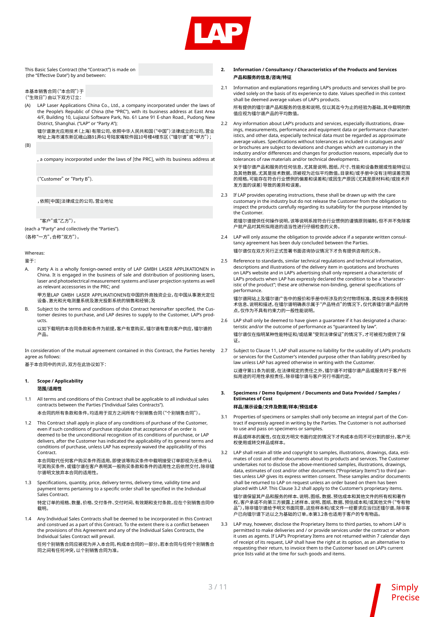

This Basic Sales Contract (the "Contract") is made on (the "Effective Date") by and between:

本基本销售合同("本合同")于 ("生效日")由以下双方订立:

(A) LAP Laser Applications China Co., Ltd., a company incorporated under the laws of the People's Republic of China (the "PRC"), with its business address at East Area 4/F, Building 10, Lujiazui Software Park, No. 61 Lane 91 E-shan Road., Pudong New District, Shanghai. ("LAP" or "Party A");

镭尔谱激光应用技术(上海)有限公司,依照中华人民共和国("中国")法律成立的公司,营业 地址上海市浦东新区峨山路91弄61号陆家嘴软件园10号楼4楼东区("镭尔谱"或"甲方");

(B) 

 , a company incorporated under the laws of [the PRC], with its business address at

("Customer" or "Party B").

 ,依照[中国]法律成立的公司,营业地址

 "客户"或"乙方")。

(each a "Party" and collectively the "Parties"). (各称"一方",合称"双方")。

Whereas:

鉴于:

- Party A is a wholly foreign-owned entity of LAP GMBH LASER APPLIKATIONEN in China. It is engaged in the business of sale and distribution of positioning lasers, laser and photoelectrical measurement systems and laser projection systems as well as relevant accessories in the PRC; and
	- 甲方是LAP GMBH LASER APPLIKATIONEN在中国的外商独资企业,在中国从事激光定位 设备、激光和光电测量系统及激光投影系统的销售和经销;及
- B. Subject to the terms and conditions of this Contract hereinafter specified, the Customer desires to purchase, and LAP desires to supply to the Customer, LAP's products.

以如下载明的本合同条款和条件为前提,客户有意购买,镭尔谱有意向客户供应,镭尔谱的 产品。

In consideration of the mutual agreement contained in this Contract, the Parties hereby agree as follows:

基于本合同中的共识,双方在此协议如下:

#### **1. Scope / Applicability 范围/适用性**

- 1.1 All terms and conditions of this Contract shall be applicable to all individual sales contracts between the Parties ("Individual Sales Contracts"). 本合同的所有条款和条件,均适用于双方之间所有个别销售合同("个别销售合同")。
- 1.2 This Contract shall apply in place of any conditions of purchase of the Customer, even if such conditions of purchase stipulate that acceptance of an order is deemed to be the unconditional recognition of its conditions of purchase, or LAP delivers, after the Customer has indicated the applicability of its general terms and conditions of purchase, unless LAP has expressly waived the applicability of this Contract.

本合同取代任何客户购买条件而适用,即使该等购买条件中载明接受订单即视为无条件认 可其购买条件,或镭尔谱在客户表明其一般购买条款和条件的适用性之后依然交付,除非镭 尔谱明文放弃本合同的适用性。

Specifications, quantity, price, delivery terms, delivery time, validity time and payment terms pertaining to a specific order shall be specified in the Individual Sales Contract.

特定订单的规格、数量、价格、交付条件、交付时间、有效期和支付条款,应在个别销售合同中 载明。

1.4 Any Individual Sales Contracts shall be deemed to be incorporated in this Contract and construed as a part of this Contract. To the extent there is a conflict between the provisions of this Agreement and any of the Individual Sales Contracts, the Individual Sales Contract will prevail.

任何个别销售合同应被视为并入本合同,构成本合同的一部分。若本合同与任何个别销售合 同之间有任何冲突,以个别销售合同为准。

#### **2. Information / Consultancy / Characteristics of the Products and Services 产品和服务的信息/咨询/特征**

2.1 Information and explanations regarding LAP's products and services shall be provided solely on the basis of its experience to date. Values specified in this context shall be deemed average values of LAP's products.

所有提供的镭尔谱产品和服务的信息和说明,仅以其迄今为止的经验为基础。其中载明的数 值应视为镭尔谱产品的平均数值。

2.2 Any information about LAP's products and services, especially illustrations, drawings, measurements, performance and equipment data or performance characteristics, and other data, especially technical data must be regarded as approximate average values. Specifications without tolerances as included in catalogues and/ or brochures are subject to deviations and changes which are customary in the industry and/or differences and changes for production reasons, especially due to tolerances of raw materials and/or technical developments.

关于镭尔谱产品和服务的任何信息,尤其是说明、图纸、尺寸、性能和设备数据或性能特征以 入,温小和,品情能影响,出现的。<br>及其他数据, 尤其是技术数据, 须被视为近似平均数值。目录和/或手册中没有注明误差范围 的规格,可能存在符合行业惯例的偏差和误差和/或因生产原因(尤其是原材料和/或技术开 发方面的误差)导致的差异和误差。

2.3 If LAP provides operating instructions, these shall be drawn up with the care customary in the industry but do not release the Customer from the obligation to inspect the products carefully regarding its suitability for the purpose intended by the Customer.

若镭尔谱提供任何操作说明,该等说明系按符合行业惯例的谨慎原则编制,但不并不免除客 户就产品对其所拟用途的适当性进行仔细检查的义务。

- 2.4 LAP will only assume the obligation to provide advice if a separate written consultancy agreement has been duly concluded between the Parties. 镭尔谱仅在双方另行正式签署书面咨询协议情况下才负有提供咨询的义务。
- 2.5 Reference to standards, similar technical regulations and technical information, descriptions and illustrations of the delivery item in quotations and brochures on LAP's website and in LAP's advertising shall only represent a characteristic of LAP's products when LAP has expressly declared the condition to be a "characteristic of the product"; these are otherwise non-binding, general specifications of performance.

镭尔谱网站上及镭尔谱广告中的报价和手册中所涉及的交付物项标准、类似技术条例和技 术信息、说明和描述,在镭尔谱明确表示属于"产品特点"的情况下,仅代表镭尔谱产品的特 点,仅作为不具有约束力的一般性能说明。

- 2.6 LAP shall only be deemed to have given a guarantee if it has designated a characteristic and/or the outcome of performance as "guaranteed by law". 镭尔谱仅在指明某种性能特征和/或结果"受到法律保证"的情况下,才可被视为提供了保 证。
- 2.7 Subject to Clause 11, LAP shall assume no liability for the usability of LAP's products or services for the Customer's intended purpose other than liability prescribed by law unless LAP has agreed otherwise in writing with the Customer. 以遵守第11条为前提,在法律规定的责任之外,镭尔谱不对镭尔谱产品或服务对于客户所 拟用途的可用性承担责任,除非镭尔谱与客户另行书面约定。
- **3. Specimens / Demo Equipment / Documents and Data Provided / Samples / Estimates of Cost**

### **样品/展示设备/文件及数据/样本/预估成本**

3.1 Properties of specimens or samples shall only become an integral part of the Contract if expressly agreed in writing by the Parties. The Customer is not authorised to use and pass on specimens or samples.

样品或样本的属性,仅在双方明文书面约定的情况下才构成本合同不可分割的部分。客户无 权使用或转交样品或样本。

3.2 LAP shall retain all title and copyright to samples, illustrations, drawings, data, estimates of cost and other documents about its products and services. The Customer undertakes not to disclose the above-mentioned samples, illustrations, drawings, data, estimates of cost and/or other documents ("Proprietary Items") to third parties unless LAP gives its express written consent. These samples and/or documents shall be returned to LAP on request unless an order based on them has been placed with LAP. This Clause 3.2 shall apply to the Customer's proprietary items.

镭尔谱保留其产品和服务的样本、说明、图纸、数据、预估成本和其他文件的所有权和著作 权。客户承诺不向第三方披露上述样本、说明、图纸、数据、预估成本和/或其他文件("专有物 品"),除非镭尔谱给予明文书面同意。这些样本和/或文件一经要求应当归还镭尔谱,除非客 户已向镭尔谱下达以之为基础的订单。本第3.2条也适用于客户的专有物品。

3.3 LAP may, however, disclose the Proprietary Items to third parties, to whom LAP is permitted to make deliveries and / or provide services under the contract or whom it uses as agents. If LAP's Proprietary Items are not returned within 7 calendar days of receipt of its request, LAP shall have the right at its option, as an alternative to requesting their return, to invoice them to the Customer based on LAP's current price lists valid at the time for such goods and items.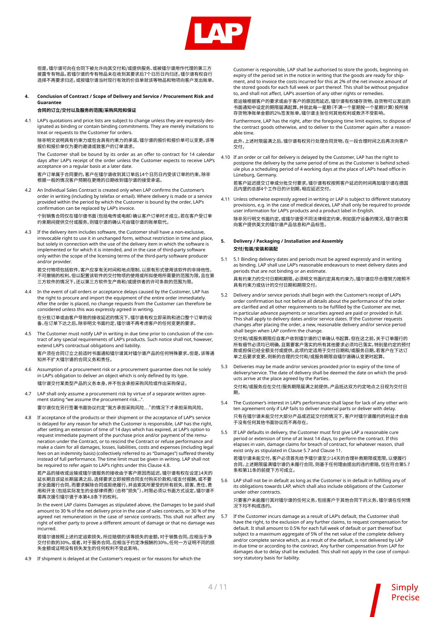

但是,镭尔谱可向在合同下被允许向其交付和/或提供服务、或被镭尔谱用作代理的第三方 披露专有物品。若镭尔谱的专有物品未在收到其要求后7个日历日内归还,镭尔谱有权自行 选择不再要求归还,或按镭尔谱当时现行有效的价目单就该等物品和物项向客户发出账单。

**4. Conclusion of Contract / Scope of Delivery and Service / Procurement Risk and Guarantee**

#### **合同的订立/交付以及服务的范围/采购风险和保证**

LAP's quotations and price lists are subject to change unless they are expressly designated as binding or contain binding commitments. They are merely invitations to treat or requests to the Customer for orders.

除非明文说明具有约束力或包含具有约束力的承诺,镭尔谱的报价和报价单可以变更。该等 报价和报价单仅为要约邀请或致客户的订单请求。

The Customer shall be bound by its order as an offer to contract for 14 calendar days after LAP's receipt of the order unless the Customer expects to receive LAP's acceptance on a regular basis at a later date.

客户订单属于合同要约,客户在镭尔谱收到其订单后14个日历日内受该订单的约束,除非 根据一般的情况客户预期在更晚的日期收到镭尔谱的接受承诺。

4.2 An Individual Sales Contract is created only when LAP confirms the Customer's order in writing (including by telefax or email). Where delivery is made or a service provided within the period by which the Customer is bound by the order, LAP's confirmation can be replaced by LAP's invoice.

个别销售合同仅在镭尔谱书面(包括电传或电邮)确认客户订单时才成立。若在客户受订单 约束期间提供交付或服务,则镭尔谱的确认可由镭尔谱的账单取代。

4.3 If the delivery item includes software, the Customer shall have a non-exclusive, irrevocable right to use it in unchanged form, without restriction in time and place, but solely in connection with the use of the delivery item in which the software is implemented or for which it is intended, and in the case of third-party software only within the scope of the licensing terms of the third-party software producer and/or provider.

若交付物项包括软件,客户应享有无时间和地点限制、以原有形式使用该软件的非排他性、 不可撤销的权利,但以配置该软件的交付物项的使用或所拟使用所需要的范围为限,且在第 三方软件的情况下,还以第三方软件生产商和/或提供者的许可条款的范围为限。

4.4 In the event of call orders or acceptance delays caused by the Customer, LAP has the right to procure and import the equipment of the entire order immediately. After the order is placed, no change requests from the Customer can therefore be considered unless this was expressly agreed in writing.

在分批订单或由客户导致的接收延迟的情况下,镭尔谱有权立即采购和进口整个订单的设 备。在订单下达之后,除非明文书面约定,镭尔谱不再考虑客户的任何变更的要求。

- 4.5 The Customer must notify LAP in writing in due time prior to conclusion of the contract of any special requirements of LAP's products. Such notice shall not, however, extend LAP's contractual obligations and liability. 客户须在合同订立之前适时书面通知镭尔谱其对镭尔谱产品的任何特殊要求。但是,该等通 知并不扩大镭尔谱的合同义务和责任。
- 4.6 Assumption of a procurement risk or a procurement guarantee does not lie solely in LAP's obligation to deliver an object which is only defined by its type. 镭尔谱交付某类型产品的义务本身,并不包含承担采购风险或作出采购保证。
- 4.7 LAP shall only assume a procurement risk by virtue of a separate written agreement stating "we assume the procurement risk..."

 雷尔谱仅在另行签署书面协议约定"我方承担采购风险…"的情况下才承担采购风险。

4.8 If acceptance of the products or their shipment or the acceptance of LAP's service is delayed for any reason for which the Customer is responsible, LAP has the right, after setting an extension of time of 14 days which has expired, at LAP's option to request immediate payment of the purchase price and/or payment of the remuneration under the Contract, or to rescind the Contract or refuse performance and make a claim for all damages, losses, liabilities, costs and expenses (including legal fees on an indemnity basis) (collectively referred to as "Damages") suffered thereby instead of full performance. The time limit must be given in writing. LAP shall not be required to refer again to LAP's rights under this Clause 4.8.

若产品的接收或运输或镭尔谱服务的接收由于客户原因而延迟,镭尔谱有权在设定14天的 延长期且该延长期届满之后,选择要求立即按照合同支付购买价款和/或支付报酬,或不要 求全面履行合同,而要求解除合同或拒绝履行,并追索其所蒙受的所有损失、损害、责任、费 用和开支(包括实际发生的全部律师费)(合称"损失")。时限必须以书面方式设定。镭尔谱不 需再次援引镭尔谱于本第4.8条下的权利。

In the event LAP claims Damages as stipulated above, the Damages to be paid shall amount to 30 % of the net delivery price in the case of sales contracts, or 30 % of the agreed net remuneration in the case of service contracts. This shall not affect any right of either party to prove a different amount of damage or that no damage was incurred.

若镭尔谱按照上述约定追索损失,所应赔偿的该等损失的金额,对于销售合同,应相当于净 交付价款的30%,或者,对于服务合同,应相当于约定净报酬的30%。任何一方证明不同的损 失金额或证明没有损失发生的任何权利不受此影响。

4.9 If shipment is delayed at the Customer's request or for reasons for which the

Customer is responsible, LAP shall be authorised to store the goods, beginning on expiry of the period set in the notice in writing that the goods are ready for shipment, and to invoice the costs incurred for this at 2% of the net invoice amount of the stored goods for each full week or part thereof. This shall be without prejudice to, and shall not affect, LAP's assertion of any other rights or remedies.

若运输根据客户的要求或由于客户的原因而延迟,镭尔谱有权储存货物,自货物可以发运的 书面通知中设定的期限届满起算,并就此每一星期(不满一个星期按一个星期计算)按所储 存货物净账单金额的2%签发账单。镭尔谱主张任何其他权利或救济不受影响。

 Furthermore, LAP has the right, after the foregoing time limit expires, to dispose of the contract goods otherwise, and to deliver to the Customer again after a reasonable time.

此外,上述时限届满之后,镭尔谱有权另行处理合同货物,在一段合理时间之后再次向客户 交付。

4.10 If an order or call for delivery is delayed by the Customer, LAP has the right to postpone the delivery by the same period of time as the Customer is behind schedule plus a scheduling period of 4 working days at the place of LAP's head office in Lüneburg, Germany.

若客户延迟提交订单或分批交付要求,镭尔谱有权按照客户延迟的时间再加镭尔谱在德国 吕内堡的总部4个工作日的计划期,相应延迟交付。

4.11 Unless otherwise expressly agreed in writing or LAP is subject to different statutory provisions, e.g. in the case of medical devices, LAP shall only be required to provide user information for LAP's products and a product label in English. 除非另行明文书面约定,或镭尔谱受不同法律规定约束,例如医疗设备的情况,镭尔谱仅需 向客户提供英文的镭尔谱产品信息和产品标签。

#### **5. Delivery / Packaging / Installation and Assembly 交付/包装/安装和装配**

具有约束力或估计的交付日期和期限交付。

- 5.1 5.1 Binding delivery dates and periods must be agreed expressly and in writing as binding. LAP shall use LAP's reasonable endeavours to meet delivery dates and periods that are not binding or an estimate. 具有约束力的交付日期和期限,必须明文书面约定具有约束力。镭尔谱应尽合理努力按照不
- 5.2 Delivery and/or service periods shall begin with the Customer's receipt of LAP's order confirmation but not before all details about the performance of the order are clarified and all other requirements to be fulfilled by the Customer are met, in particular advance payments or securities agreed are paid or provided in full. This shall apply to delivery dates and/or service dates. If the Customer requests changes after placing the order, a new, reasonable delivery and/or service period shall begin when LAP confirm the change.

交付和/或服务期限应自客户收到镭尔谱的订单确认书起算,但在这之前,关于订单履行的 所有细节必须均已明确,且需要客户落实的所有其他要求必须均已落实,特别是约定的预付 款或担保已经全额支付或提供。此项约定适用于交付日期和/或服务日期。若客户在下达订 单之后要求变更,则新的合理的交付和/或服务期限自镭尔谱确认变更时起算。

5.3 Deliveries may be made and/or services provided prior to expiry of the time of delivery/service. The date of delivery shall be deemed the date on which the products arrive at the place agreed by the Parties.

交付和/或服务应在交付/服务期限届满之前提供。产品抵达双方约定地点之日视为交付日 期。

- 5.4 The Customer's interest in LAP's performance shall lapse for lack of any other written agreement only if LAP fails to deliver material parts or deliver with delay. 只有在镭尔谱未能交付大部分产品或迟延交付的情况下,客户对镭尔谱履约的利益才会由 于没有任何其他书面协议而不再存在。
- 5.5 If LAP defaults in delivery, the Customer must first give LAP a reasonable cure period or extension of time of at least 14 days, to perform the contract. If this elapses in vain, damage claims for breach of contract, for whatever reason, shall exist only as stipulated in Clause 5.7 and Clause 11.

若镭尔谱未能交付,客户必须首先给予镭尔谱至少14天的合理补救期限或宽限,以便履行 合同。上述期限届满镭尔谱仍未履行合同,则基于任何理由提出的违约索赔,仅在符合第5.7 条和第11条的前提下方可成立。

LAP shall not be in default as long as the Customer is in default in fulfilling any of its obligations towards LAP, which shall also include obligations of the Customer under other contracts.

只要客户未能履行其对镭尔谱的任何义务,包括客户于其他合同下的义务,镭尔谱在任何情 况下均不构成违约。

5.7 If the Customer incurs damage as a result of LAP's default, the Customer shall have the right, to the exclusion of any further claims, to request compensation for default. It shall amount to 0.5% for each full week of default or part thereof but subject to a maximum aggregate of 5% of the net value of the complete delivery and/or complete service which, as a result of the default, is not delivered by LAP in due time or according to the contract. Any further compensation from LAP for damages due to delay shall be excluded. This shall not apply in the case of compulsory statutory basis for liability.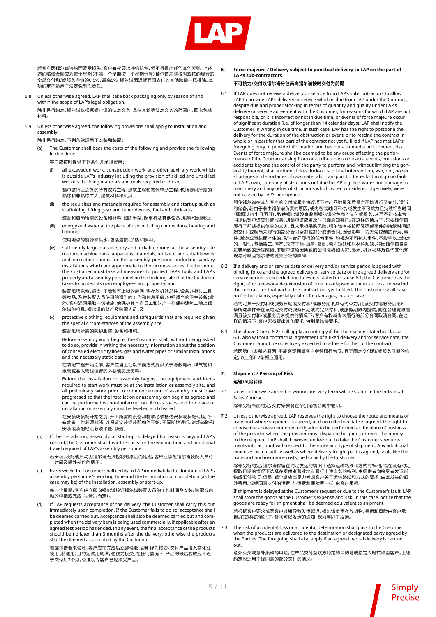

若客户因镭尔谱违约而蒙受损失,客户有权要求违约赔偿,但不得提出任何其他索赔。上述 违约赔偿金额应为每个星期(不满一个星期按一个星期计算)镭尔谱未能按时或按约履行的 全部交付和/或服务净值的0.5%,最高5%。镭尔谱因迟延而须支付的其他赔偿一概排除。此 项约定不适用于法定强制性责任。

5.8 Unless otherwise agreed, LAP shall take back packaging only by reason of and within the scope of LAP's legal obligation. 除非另行约定,镭尔谱仅根据镭尔谱的法定义务,且在其该等法定义务的范围内,回收包装

材料。

5.9 Unless otherwise agreed, the following provisions shall apply to installation and assembly:

 除非另行约定,下列条款适用于安装和装配:

(a) The Customer shall bear the costs of the following and provide the following in due time:

 客户应按时提供下列条件并承担费用:

- all excavation work, construction work and other auxiliary work which is outside LAP's industry including the provision of skilled and unskilled workers, building materials and tools required to do so;
	- 镭尔谱行业之外的所有挖方工程、建筑工程和其他辅助工程,包括提供所需的 熟练和非熟练工人、建筑材料和机具;
- (ii) the requisites and materials required for assembly and start-up such as scaffolding, lifting gear and other devices, fuel and lubricants;

 装配和启动所需的设备和材料,如脚手架、起重机及其他设备、燃料和润滑油;

(iii) energy and water at the place of use including connections, heating and lighting;

 使用地点的能源和供水,包括连接、加热和照明;

(iv) sufficiently large, suitable, dry and lockable rooms at the assembly site to store machine parts, apparatus, materials, tools etc. and suitable work and recreation rooms for the assembly personnel including sanitary installations which are appropriate to the circum-stances; furthermore, the Customer must take all measures to protect LAP's tools and LAP's property and assembly personnel on the building site that the Customer takes to protect its own employees and property; and

 装配现场宽敞、适当、干燥和可上锁的房间,供存放机器部件、设备、材料、工具 等物品,及供装配人员使用的适当的工作和休息用房,包括适当的卫生设备;此 外,客户还须采取一切措施,像保护其本身员工和财产一样保护建筑工地上镭 尔谱的机具、镭尔谱的财产及装配人员;及

(v) protective clothing, equipment and safeguards that are required given the special circum-stances of the assembly site.

 装配现场所需的防护服装、设备和措施。

Before assembly work begins, the Customer shall, without being asked to do so, provide in writing the necessary information about the position of concealed electricity lines, gas and water pipes or similar installations and the necessary static data.

 在装配工程开始之前,客户应当主动以书面方式提供关于隐蔽电线、煤气管和 水管或类似管线位置的必要信息及资料。

Before the installation or assembly begins, the equipment and items required to start work must be at the installation or assembly site, and all preliminary work prior to commencement of assembly must have progressed so that the installation or assembly can begin as agreed and can be performed without interruption. Access roads and the place of installation or assembly must be levelled and cleared.

 在安装或装配开始之前,开工所需的设备和物项必须抵达安装或装配现场,所 有准备工作必须就绪,以保证安装或装配如约开始,不间断地进行。进场道路和 安装或装配地点必须平整、畅通。

(b) If the installation, assembly or start-up is delayed for reasons beyond LAP's control, the Customer shall bear the costs for the waiting time and additional travel required of LAP's assembly personnel.

 若安装、装配或启动因镭尔谱无法控制的原因而延迟,客户应承担镭尔谱装配人员待 工时间及额外差旅的费用。

(c) Every week the Customer shall certify to LAP immediately the duration of LAP's assembly personnel's working time and the termination or completion (as the case may be) of the installation, assembly or start-up.

 每一个星期,客户应立即向镭尔谱核证镭尔谱装配人员的工作时间及安装、装配或启 动的中指或完成(视情况而定)。

(d) If LAP requests acceptance of the delivery, the Customer shall carry this out immediately upon completion. If the Customer fails to do so, acceptance shall be deemed carried out. Acceptance shall also be deemed carried out and completed when the delivery item is being used commercially, if applicable after an agreed test period has ended. In any event, the final acceptance of the products should be no later than 3 months after the delivery; otherwise the products shall be deemed as accepted by the Customer.

 若镭尔谱要求验收,客户应在完成后立即验收,否则视为接受。交付产品投入商化业 使用(若适用)且约定试用期满,也视为接受。在任何情况下,产品的最后验收应不迟 于交付后3个月,否则视为客户已经接受产品。

**6. Force majeure / Delivery subject to punctual delivery to LAP on the part of LAP's sub-contractors**

#### **不可抗力/交付以镭尔谱分包商向镭尔谱按时交付为前提**

6.1 If LAP does not receive a delivery or service from LAP's sub-contractors to allow LAP to provide LAP's delivery or service which is due from LAP under the Contract, despite due and proper stocking in terms of quantity and quality under LAP's delivery or service agreement with the Customer, for reasons for which LAP are not responsible, or it is incorrect or not in due time, or events of force majeure occur of significant duration (i.e. of longer than 14 calendar days), LAP shall notify the Customer in writing in due time. In such case, LAP has the right to postpone the delivery for the duration of the obstruction or event, or to rescind the contract in whole or in part for that part of the contract not yet fulfilled if LAP has met LAP's foregoing duty to provide information and has not assumed a procurement risk. Events of force majeure shall be deemed to be any cause affecting the performance of the Contract arising from or attributable to the acts, events, omissions or accidents beyond the control of the party to perform and, without limiting the generality thereof, shall include strikes, lock-outs, official intervention, war, riot, power shortages and shortages of raw materials, transport bottlenecks through no fault of LAP's own, company obstructions not due to LAP e.g. fire, water and damage to machinery and any other obstructions which, when considered objectively, were not caused by LAP's negligence.

即使镭尔谱在其与客户的交付或服务协议项下对产品数量和质量方面均进行了充分、适当 的储备,若由于非由镭尔谱负责的原因,或内容或时间不对,或发生不可抗力且持续相当时间 。<br>[即超过14个日历日),致使镭尔谱没有收到镭尔谱分包商的交付或服务,从而不能按本合 同提供镭尔谱交付或服务,则镭尔谱应当及时书面通知客户。在这样的情况下,只要镭尔谱 履行了前述提供信息的义务,且未承担采购风险,镭尔谱有权按照障碍或事件的持续时间延 迟交付,或就尚未履行的部分合同全部或部分取消合同。因受影响一方无法控制的行为、事 件、疏忽或事故而产生的、影响合同履行的任何事件,均视为不可抗力事件,不影响以上约定 的一般性,包括罢工、停产、政府干预、战争、暴乱、电力短缺和原材料短缺、非因镭尔谱自身 过错所致的运输障碍、非镭尔谱原因所致的公司障碍如火灾、浸水、机器损坏及任何其他客 观考虑非因镭尔谱的过失所致的障碍。

6.2 If a delivery and or service date or delivery and/or service period is agreed with binding force and the agreed delivery or service date or the agreed delivery and/or service period is exceeded due to events stated in Clause 6.1, the Customer has the right, after a reasonable extension of time has elapsed without success, to rescind the contract for that part of the contract not yet fulfilled. The Customer shall have no further claims, especially claims for damages, in such case.

若约定某一交付和或服务日期或交付和/或服务期限具有约束力,而该交付或服务因第6.1 条所述事件未在该约定交付或服务日期或约定交付和/或服务期限内提供,则在合理宽限届 满且该交付和/或服务仍未提供的情况下,客户有权就尚未履行的部分合同取消合同。在这 样的情况 卜,客尸尢权提出其他要求, 特别是赔偿要求。

6.3 The above Clause 6.2 shall apply accordingly if, for the reasons stated in Clause 6.1, also without contractual agreement of a fixed delivery and/or service date, the Customer cannot be objectively expected to adhere further to the contract. 若因第6.1条所述原因,不能客观期望客户继续履行合同,且无固定交付和/或服务日期的约 定,以上第6.2条相应适用。

#### **7. Shipment / Passing of Risk 运输/风险转移**

7.1 Unless otherwise agreed in writing, delivery term will be stated in the Individual Sales Contract.

 除非另行书面约定,交付条款将在个别销售合同中载明。

7.2 Unless otherwise agreed, LAP reserves the right to choose the route and means of transport where shipment is agreed, or if no collection date is agreed, the right to choose the above-mentioned obligation to be performed at the place of business of the provider where the provider must dispatch the goods or remit the money to the recipient. LAP shall, however, endeavour to take the Customer's requirements into account with respect to the route and type of shipment. Any additional expenses as a result, as well as where delivery freight paid is agreed, shall, like the transport and insurance costs, be borne by the Customer.

除非另行约定,镭尔谱保留在约定发运的情况下选择运输路线和方式的权利,或在没有约定 提取日期的情况下选择在提供者营业地点履行上述义务的权利,由提供者向接受者发运货 物或汇付款项。但是,镭尔谱应当尽力考虑客户关于运输路线和方式的要求。由此发生的额 外费用,或经同意支付的运费,与运费和保险费一样,由客户承担。

If shipment is delayed at the Customer's request or due to the Customer's fault, LAP shall store the goods at the Customer's expense and risk. In this case, notice that the goods are ready for shipment shall be deemed equivalent to shipment.

若根据客户要求或因客户过错导致发运延迟,镭尔谱负责存放货物,费用和风险由客户承 担。在这样的情况下,货物可以发运的通知,视为等同于发运。

7.3 The risk of accidental loss or accidental deterioration shall pass to the Customer when the products are delivered to the destination or designated party agreed by the Parties. The foregoing shall also apply if an agreed partial delivery is carried out.

意外灭失或意外损毁的风险,在产品交付至双方约定的目的地或指定人时转移至客户。上述 约定也适用于经同意的部分交付的情况。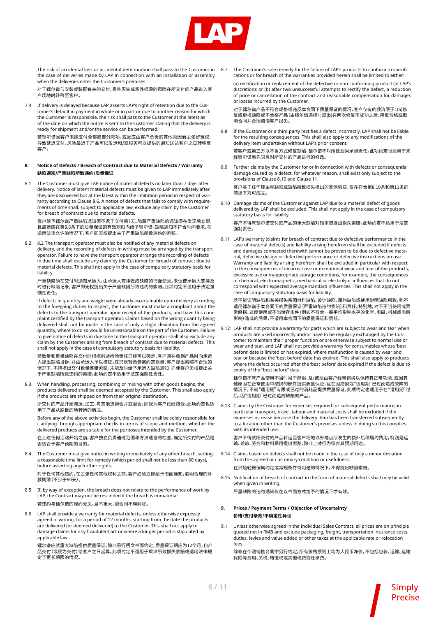

 The risk of accidental loss or accidental deterioration shall pass to the Customer in the case of deliveries made by LAP in connection with an installation or assembly when the deliveries enter the Customer's premises.

对于镭尔谱与安装或装配有关的交付,意外灭失或意外损毁的风险在所交付的产品进入客 户场地时转移至客户。

7.4 If delivery is delayed because LAP asserts LAP's right of retention due to the Customer's default in payment in whole or in part or due to another reason for which the Customer is responsible, the risk shall pass to the Customer at the latest as of the date on which the notice is sent to the Customer stating that the delivery is ready for shipment and/or the service can be performed.

若镭尔谱因客户未能支付全部或部分款项,或因应由客户负责的其他原因而主张留置权, 导致延迟交付,风险最迟于产品可以发运和/或服务可以提供的通知送达客户之日转移至 客户。

#### **8. Notice of Defects / Breach of Contract due to Material Defects / Warranty 缺陷通知/严重缺陷所致违约/质量保证**

8.1 The Customer must give LAP notice of material defects no later than 7 days after delivery. Notice of latent material defects must be given to LAP immediately after they are discovered but at the latest within the limitation period in respect of warranty according to Clause 8.6. A notice of defects that fails to comply with requirements of time shall, subject to applicable law, exclude any claim by the Customer for breach of contract due to material defects.

客户给予镭尔谱严重缺陷通知须不迟于交付后7天。隐藏严重缺陷的通知须在发现后立即, 且最迟应在第8.6条下的质量保证的有效期限内给予镭尔谱。缺陷通知不符合时间要求,在 适用法律允许的情况下,客户即无权提出关于严重缺陷所致违约的索赔。

8.2 8.2 The transport operator must also be notified of any material defects on delivery, and the recording of defects in writing must be arranged by the transport operator. Failure to have the transport operator arrange the recording of defects in due time shall exclude any claim by the Customer for breach of contract due to material defects. This shall not apply in the case of compulsory statutory basis for liability.

严重缺陷须在交付时通知承运人,由承运人安排做成缺陷的书面记录。未促使承运人安排及 时进行缺陷记录,客户即无权提出关于严重缺陷所致违约的索赔。此项约定不适用于法定强 制性责任。

If defects in quantity and weight were already ascertainable upon delivery according to the foregoing duties to inspect, the Customer must make a complaint about the defects to the transport operator upon receipt of the products, and have this complaint certified by the transport operator. Claims based on the wrong quantity being delivered shall not be made in the case of only a slight deviation from the agreed quantity, where to do so would be unreasonable on the part of the Customer. Failure to give notice of defects in due time to the transport operator shall also exclude any claim by the Customer arising from breach of contract due to material defects. This shall not apply in the case of compulsory statutory basis for liability.

若数量和重量缺陷在交付时根据前述检验责任已经可以确定,客户须在收到产品时向承运 人提出缺陷投诉,并由承运人予以核证。在只是轻微偏离约定数量、客户提出索赔不合理的 情况下,不得提出交付数量差错索赔。未能及时给予承运人缺陷通知,亦使客户无权提出关 于严重缺陷所致违约的索赔。此项约定不适用于法定强制性责任。

8.3 When handling, processing, combining or mixing with other goods begins, the products delivered shall be deemed accepted by the Customer. This shall also apply if the products are shipped on from their original destination.

所交付的产品开始搬运、加工、与其他货物合并或混合,即视为客户已经接受。此项约定也适 用于产品从原目的地转运的情况。

Before any of the above activities begin, the Customer shall be solely responsible for clarifying through appropriate checks in terms of scope and method, whether the delivered products are suitable for the purposes intended by the Customer. 在上述任何活动开始之前,客户独立负责通过范围和方法适当的检查,确定所交付的产品是 否适合于客户预期的目的。

8.4 The Customer must give notice in writing immediately of any other breach, setting a reasonable time limit for remedy (which period shall not be less than 60 days), before asserting any further rights.

对于任何其他违约,在主张任何其他权利之前,客户必须立即给予书面通知,载明合理的补 救期限(不少于60天)。

- 8.5 If, by way of exception, the breach does not relate to the performance of work by LAP, the Contract may not be rescinded if the breach is immaterial. 若违约与镭尔谱的履约无关,且不重大,则合同不得解除。
- 8.6 LAP shall provide a warranty for material defects, unless otherwise expressly agreed in writing, for a period of 12 months, starting from the date the products are delivered (or deemed delivered) to the Customer. This shall not apply to damage claims for any fraudulent act or where a longer period is stipulated by applicable law.

镭尔谱应就重大缺陷提供质量保证,除非另行明文书面约定,质量保证期应为12个月,自产 品交付(或视为交付)给客户之日起算。此项约定不适用于欺诈所致损失索赔或适用法律规 定了更长期限的情况。

8.7 The Customer's sole remedy for the failure of LAP's products to conform to specifications or for breach of the warranties provided herein shall be limited to either:

(a) rectification or replacement of the defective or non-conforming product (at LAP's discretion); or (b) after two unsuccessful attempts to rectify the defect, a reduction of price or cancellation of the contract and reasonable compensation for damages or losses incurred by the Customer.

对于镭尔谱产品不符合规格或违反本合同下质量保证的情况,客户仅有的救济限于:(a)修 复或更换缺陷或不合格产品(由镭尔谱选择);或(b)在两次修复不成功之后,降低价格或取 消合同并合理赔偿客户损失。

8.8 If the Customer or a third party rectifies a defect incorrectly, LAP shall not be liable for the resulting consequences. This shall also apply to any modifications of the delivery item undertaken without LAP's prior consent.

若客户或第三方以不当方式修复缺陷,镭尔谱不对所致后果承担责任。此项约定也适用于未 经镭尔谱事先同意对所交付的产品进行的修改。

8.9 Further claims by the Customer for or in connection with defects or consequential damage caused by a defect, for whatever reason, shall exist only subject to the provisions of Clause 8.10 and Clause 11.

客户基于任何理由就缺陷或缺陷所致损失提出的其他索赔,仅在符合第8.10条和第11条的 前提下方可成立。

8.10 Damage claims of the Customer against LAP due to a material defect of goods delivered by LAP shall be excluded. This shall not apply in the case of compulsory statutory basis for liability. 客户不得就镭尔谱交付的产品的重大缺陷对镭尔谱提出损失索赔。此项约定不适用于法定

强制责任。

8.11 LAP's warranty (claims for breach of contract due to defective performance in the case of material defects) and liability arising herefrom shall be excluded if defects and damages connected therewith cannot be proven to be due to defective material, defective design or defective performance or defective instructions on use. Warranty and liability arising herefrom shall be excluded in particular with respect to the consequences of incorrect use or exceptional wear and tear of the products, excessive use or inappropriate storage conditions, for example, the consequences of chemical, electromagnetic, mechanical or electrolytic influences that do not correspond with expected average standard influences. This shall not apply in the case of compulsory statutory basis for liability.

若不能证明缺陷和有关损失系因材料缺陷、设计缺陷、履约缺陷或使用说明缺陷所致,则不 适用镭尔谱于本合同下的质量保证(严重缺陷违约索赔)和责任。特别地,对于不当使用或异 常磨损、过度使用或不当储存条件(例如不符合一般平均影响水平的化学、电磁、机械或电解 影响)造成的后果,不适用本合同下的质量保证和责任。

8.12 LAP shall not provide a warranty for parts which are subject to wear and tear when products are used incorrectly and/or have to be regularly exchanged by the Customer to maintain their proper function or are otherwise subject to normal use or wear and tear, and LAP shall not provide a warranty for consumables whose 'best before' date is limited or has expired, where malfunction is caused by wear and tear or because the 'best before' date has expired. This shall also apply to products where the defect occurred after the 'best before' date expired if the defect is due to expiry of the "best before" date.

镭尔谱不就产品使用不当时易于磨损、及/或须由客户经常调换以保持其正常功能、或因其 他原因在正常使用中磨损的部件提供质量保证,且在因磨损或"适用期"已过而造成故障的 情况下,不就"适用期"有限或已过的消耗品提供质量保证。此项约定也适用于在"适用期"过 后、因"适用期"已过而造成缺陷的产品。

8.13 Claims by the Customer for expenses required for subsequent performance, in particular transport, travel, labour and material costs shall be excluded if the expenses increase because the delivery item has been transferred subsequently to a location other than the Customer's premises unless in doing so this complies with its intended use.

客户不得就所交付的产品转运至客户场地以外地点所发生的额外后续履约费用,特别是运 输、差旅、劳务和材料费用提出索赔,除非上述行为符合其预期用途。

- 8.14 Claims based on defects shall not be made in the case of only a minor deviation from the agreed or customary condition or usefulness. 在只是轻微偏离约定或常规条件或用途的情况下,不得提出缺陷索赔。
- 8.15 Notification of breach of contract in the form of material defects shall only be valid when given in writing.

 严重缺陷的违约通知仅在以书面方式给予的情况下才有效。

- **9. Prices / Payment Terms / Objection of Uncertainty 价格/支付条款/不确定性异议**
- 9.1 Unless otherwise agreed in the Individual Sales Contract, all prices are on principle quoted net in RMB and exclude packaging, freight, transportation insurance costs, duties, levies and value added or other taxes at the applicable rate or relocation fees.

除非在个别销售合同中另行约定,所有价格原则上均为人民币净价,不包括包装、运输、运输 保险等费用、关税、增值税或其他税费或迁移费。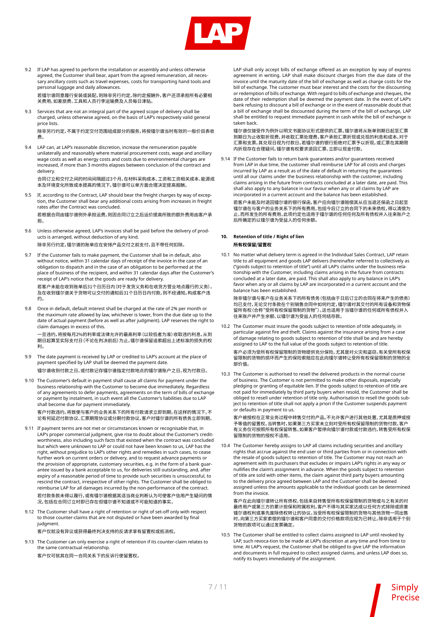

9.2 If LAP has agreed to perform the installation or assembly and unless otherwise agreed, the Customer shall bear, apart from the agreed remuneration, all necessary ancillary costs such as travel expenses, costs for transporting hand tools and personal luggage and daily allowances.

若镭尔谱同意履行安装或装配,则除非另行约定,除约定报酬外,客户还须承担所有必要相 关费用,如差旅费、工具和人员行李运输费及人员每日津贴。

9.3 Services that are not an integral part of the agreed scope of delivery shall be charged, unless otherwise agreed, on the basis of LAP's respectively valid general price lists.

除非另行约定,不属于约定交付范围组成部分的服务,将按镭尔谱当时有效的一般价目表收 费。

9.4 LAP can, at LAP's reasonable discretion, increase the remuneration payable unilaterally and reasonably where material procurement costs, wage and ancillary wage costs as well as energy costs and costs due to environmental charges are increased, if more than 3 months elapses between conclusion of the contract and delivery.

合同订立和交付之间的时间间隔超过3个月,在材料采购成本、工资和工资相关成本、能源成 本及环境变化所致成本提高的情况下,镭尔谱可以单方面合理决定提高报酬。

9.5 If, according to the Contract, LAP should bear the freight charges by way of exception, the Customer shall bear any additional costs arising from increases in freight rates after the Contract was concluded.

若根据合同由镭尔谱例外承担运费,则因合同订立之后运价提高所致的额外费用由客户承 担。

9.6 Unless otherwise agreed, LAP's invoices shall be paid before the delivery of products is arranged, without deduction of any kind. 除非另行约定,镭尔谱的账单应在安排产品交付之前支付,且不带任何扣除。

If the Customer fails to make payment, the Customer shall be in default, also without notice, within 31 calendar days of receipt of the invoice in the case of an obligation to dispatch and in the case of an obligation to be performed at the place of business of the recipient, and within 31 calendar days after the Customer's receipt of LAP's notice that the goods are ready for delivery. 若客户未能在收到账单后31个日历日内(对于发货义务和在收货方营业地点履行的义务), 及在收到镭尔谱关于货物可以交付的通知后31个日历日内付款,则不经通知,构成客户违 约。

9.8 Once in default, default interest shall be charged at the rate of 2% per month or the maximum rate allowed by law, whichever is lower, from the due date up to the date of actual payment (before as well as after judgment). LAP reserves the right to claim damages in excess of this.

一旦违约,将按每月2%的利率或法律允许的最高利率(以较低者为准)收取违约利息,从到 期日起算至实际支付日(不论在判决前后)为止。镭尔谱保留追索超出上述标准的损失的权 利。

- 9.9 The date payment is received by LAP or credited to LAP's account at the place of payment specified by LAP shall be deemed the payment date. 镭尔谱收到付款之日,或付款记存镭尔谱指定付款地点的镭尔谱账户之日,视为付款日。
- 9.10 The Customer's default in payment shall cause all claims for payment under the business relationship with the Customer to become due immediately. Regardless of any agreements to defer payments, agreements on the term of bills of exchange or payment by instalment, in such event all the Customer's liabilities due to LAP shall become due for payment immediately.

客户付款违约,将致使与客户的业务关系下的所有付款请求立即到期。在这样的情况下,不 论有何延迟付款协议、汇票期限协议或分期付款协议,客户对镭尔谱的所有债务立即到期。

- 9.11 If payment terms are not met or circumstances known or recognisable that, in LAP's proper commercial judgment, give rise to doubt about the Customer's creditworthiness, also including such facts that existed when the contract was concluded but which were unknown to LAP or could not have been known to us, LAP has the right, without prejudice to LAP's other rights and remedies in such cases, to cease further work on current orders or delivery, and to request advance payments or the provision of appropriate, customary securities, e.g. in the form of a bank guarantee issued by a bank acceptable to us, for deliveries still outstanding, and, after expiry of a reasonable period of time to provide such securities is unsuccessful, to rescind the contract, irrespective of other rights. The Customer shall be obliged to reimburse LAP for all damages incurred by the non-performance of the contract. 若付款条款未得以履行,或有镭尔谱根据其适当商业判断认为可使客户信用产生疑问的情 况,包括在合同订立时即已存在但镭尔谱不知道或不可能知道的事实,
- 9.12 The Customer shall have a right of retention or right of set-off only with respect to those counter-claims that are not disputed or have been awarded by final judgment.

 客户仅就没有异议或获得最终判决支持的反请求享有留置权或抵消权。

9.13 The Customer can only exercise a right of retention if its counter-claim relates to the same contractual relationship.

 客户仅可就其在同一合同关系下的反诉行使留置权。

LAP shall only accept bills of exchange offered as an exception by way of express agreement in writing. LAP shall make discount charges from the due date of the invoice until the maturity date of the bill of exchange as well as charge costs for the bill of exchange. The customer must bear interest and the costs for the discounting or redemption of bills of exchange. With regard to bills of exchange and cheques, the date of their redemption shall be deemed the payment date. In the event of LAP's bank refusing to discount a bill of exchange or in the event of reasonable doubt that a bill of exchange shall be discounted during the term of the bill of exchange, LAP shall be entitled to request immediate payment in cash while the bill of exchange is taken back.

镭尔谱仅接受作为例外以明文书面协议形式提供的汇票。镭尔谱将从账单到期日起至汇票 到期日为止收取折现费,并收取汇票处理费。客户承担汇票折现或兑现的利息和成本。对于 汇票和支票,其兑现日视为付款日。若镭尔谱的银行拒绝对汇票予以折现,或汇票在其期限 内折现存在合理疑问,镭尔谱有权要求退回汇票、立即以现金付款。

9.14 If the Customer fails to return bank guarantees and/or guarantees received from LAP in due time, the customer shall reimburse LAP for all costs and charges incurred by LAP as a result as of the date of default in returning the guarantees until all our claims under the business relationship with the customer, including claims arising in the future from contracts concluded at a later date, are paid. This shall also apply to any balance in our favour when any or all claims by LAP are incorporated in a current account and the balance has been established.

若客户未能及时退回镭尔谱的银行保函,客户应向镭尔谱赔偿其从应当退还保函之日起至 镭尔谱在与客户的业务关系下的所有费用,包括今后订立的合同下的未来债权,得以清偿为 止,而所发生的所有费用。此项约定也适用于镭尔谱的任何任何及所有债权并入往来账户之 后所确定的以镭尔谱为受益人的任何余额。

#### **10. Retention of title / Right of lien 所有权保留/留置权**

10.1 No matter what delivery term is agreed in the Individual Sales Contract, LAP retain title to all equipment and goods LAP delivers (hereinafter referred to collectively as ("goods subject to retention of title") until all LAP's claims under the business relationship with the Customer, including claims arising in the future from contracts concluded at a later date, are paid. This shall also apply to any balance in LAP's favor when any or all claims by LAP are incorporated in a current account and the balance has been established.

除非镭尔谱与客户在业务关系下的所有债务(包括由于日后订立的合同在将来产生的债务) 均已支付,无论交付条款在个别销售合同中如何约定,镭尔谱对其交付的所有设备和货物保 留所有权(合称"受所有权保留限制的货物")。这也适用于当镭尔谱的任何或所有债权并入 往来账户并产生余额、以镭尔谱为受益人的任何结存款。

- 10.2 The Customer must insure the goods subject to retention of title adequately, in particular against fire and theft. Claims against the insurance arising from a case of damage relating to goods subject to retention of title shall be and are hereby assigned to LAP to the full value of the goods subject to retention of title. 客户必须为受所有权保留限制的货物提供充分保险,尤其是对火灾和盗窃。有关受所有权保 留限制的货物的损坏而产生的保险索赔应在此向镭尔谱转让受所有权保留限制的货物的全 部价值。
- 10.3 The Customer is authorised to resell the delivered products in the normal course of business. The Customer is not permitted to make other disposals, especially pledging or granting of equitable lien. If the goods subject to retention of title are not paid for immediately by third party buyers when resold, the Customer shall be obliged to resell under retention of title only. Authorisation to resell the goods subject to retention of title shall not apply a priori if the Customer suspends payment or defaults in payment to us.

客户被授权在正常业务过程中转售交付的产品。不允许客户进行其他处置,尤其是质押或授 予等值的留置权。当转售时,如果第三方买家未立刻对受所有权保留限制的货物付款,客户 有义务仅可按照所有权保留转售。如果客户暂停向镭尔谱付款或付款违约,转售受所有权保 留限制的货物的授权不适用。

10.4 The Customer hereby assigns to LAP all claims including securities and ancillary rights that accrue against the end user or third parties from or in connection with the resale of goods subject to retention of title. The Customer may not reach an agreement with its purchasers that excludes or impairs LAP's rights in any way or nullifies the claim's assignment in advance. When the goods subject to retention of title are sold with other items, the claim against third party buyers amounting to the delivery price agreed between LAP and the Customer shall be deemed assigned unless the amounts applicable to the individual goods can be determined from the invoice

客户在此向镭尔谱转让所有债权,包括来自转售受所有权保留限制的货物或与之有关的对 最终用户或第三方的累计担保和附属权利。客户不得与其买家达成以任何方式排除或损害 镭尔谱权利或事先废除债权转让的协议。当受所有权保留限制的货物与其他货物一同出售 时,向第三方买家索偿的镭尔谱和客户同意的交付价格款项应视为已转让,除非适用于个别 货物的款项可以通过发票确定。

10.5 The Customer shall be entitled to collect claims assigned to LAP until revoked by LAP, such revoca-tion to be made at LAP's discretion at any time and from time to time. At LAP's request, the Customer shall be obliged to give LAP the information and documents in full required to collect assigned claims, and unless LAP does so, notify its buyers immediately of the assignment.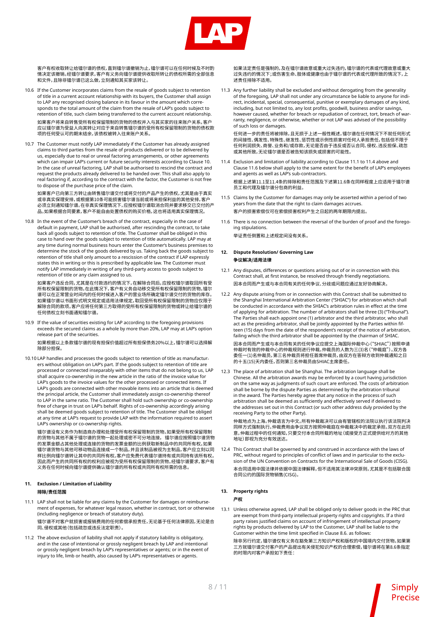

客户有权收取转让给镭尔谱的债权,直到镭尔谱撤销为止,镭尔谱可以在任何时候及不时酌 情决定该撤销。经镭尔谱要求,客户有义务向镭尔谱提供收取所转让的债权所需的全部信息 和文件,且除非镭尔谱已这么做,立刻通知其买家该转让。

- 10.6 If the Customer incorporates claims from the resale of goods subject to retention of title in a current account relationship with its buyers, the Customer shall assign to LAP any recognised closing balance in its favour in the amount which corresponds to the total amount of the claim from the resale of LAP's goods subject to retention of title, such claim being transferred to the current account relationship. 如果客户将来自转售受所有权保留限制的货物的债权并入与其买家的往来账户关系,客户 应以镭尔谱为受益人向其转让对应于来自转售镭尔谱的受所有权保留限制的货物的债权款 项的任何受认可的期末结余,该债权被转入往来账户关系。
- 10.7 The Customer must notify LAP immediately if the Customer has already assigned claims to third parties from the resale of products delivered or to be delivered by us, especially due to real or unreal factoring arrangements, or other agreements which can impair LAP's current or future security interests according to Clause 10. In the case of unreal factoring, LAP shall be authorised to rescind the contract and request the products already delivered to be handed over. This shall also apply to real factoring if, according to the contract with the factor, the Customer is not free to dispose of the purchase price of the claim.

如果客户已向第三方转让由转售镭尔谱交付或将交付的产品产生的债权,尤其是由于真实 或非真实保理安排,或根据第10条可能损害镭尔谱当前或将来担保利益的其他安排,客户 必须立刻通知镭尔谱。在非真实保理情况下,应授权镭尔谱取消合同并要求移交已交付的产 品。如果根据合同要素,客户不能自由处置债权的购买价格,这也将适用真实保理情况。

10.8 In the event of the Customer's breach of the contract, especially in the case of default in payment, LAP shall be authorised, after rescinding the contract, to take back all goods subject to retention of title. The Customer shall be obliged in this case to hand over the goods subject to retention of title automatically. LAP may at any time during normal business hours enter the Customer's business premises to determine the stock of the goods delivered by us. Taking back the goods subject to retention of title shall only amount to a rescission of the contract if LAP expressly states this in writing or this is prescribed by applicable law. The Customer must notify LAP immediately in writing of any third-party access to goods subject to retention of title or any claim assigned to us.

如果客户违反合同,尤其是在付款违约的情况下,在解除合同后,应授权镭尔谱取回所有受 所有权保留限制的货物。在此情况下,客户有义务自动移交受所有权保留限制的货物。镭尔 谱可以在正常营业时间内的任何时候进入客户的营业场所确定镭尔谱交付的货物的库存。 知为以上生形出生物的"能"上为"水定公司",均由主物的就是猛热力。<br>如果镭尔谱以书面形式明文规定或适用法律规定,取回受所有权保留限制的货物应仅限于 解除合同的款项。客户应将任何第三方取得的受所有权保留限制的货物或转让给镭尔谱的 任何债权立刻书面通知镭尔谱。

10.9 If the value of securities existing for LAP according to the foregoing provisions exceeds the secured claims as a whole by more than 20%, LAP may at LAP's option release part of the securities.

如果根据以上条款镭尔谱的现有担保价值超过所有担保债务20%以上,镭尔谱可以选择解 除部分担保。

10.10 LAP handles and processes the goods subject to retention of title as manufacturers without obligation on LAP's part. If the goods subject to retention of title are processed or connected inseparably with other items that do not belong to us, LAP shall acquire co-ownership in the new article in the ratio of the invoice value for LAP's goods to the invoice values for the other processed or connected items. If LAP's goods are connected with other movable items into an article that is deemed the principal article, the Customer shall immediately assign co-ownership thereof to LAP in the same ratio. The Customer shall hold such ownership or co-ownership free of charge in trust on LAP's behalf. Rights of co-ownership accordingly arising shall be deemed goods subject to retention of title. The Customer shall be obliged at any time at LAP's request to provide LAP with the information required to assert LAP's ownership or co-ownership rights.

镭尔谱没有义务作为制造商办理和处理受所有权保留限制的货物。如果受所有权保留限制 的货物与其他不属于镭尔谱的货物一起处理或密不可分地连接,镭尔谱应按照镭尔谱货物 的发票金额占其他处理或连接的货物的发票金额的比例获取新制品中的共同所有权。如果 镭尔谱货物与其他可移动物品连接成一个制品,并且该制品被视为主制品,客户应立刻以同 样比例向镭尔谱转让其中的共同所有权。客户应免费代表镭尔谱持有或共同持有该所有权。 因此而产生的共同所有权的权利应被视为受所有权保留限制的货物。经镭尔谱要求,客户有 义务在任何时候向镭尔谱提供确认镭尔谱的所有权或共同所有权所需的信息。

#### **11. Exclusion / Limitation of Liability 排除/责任范围**

11.1 LAP shall not be liable for any claims by the Customer for damages or reimbursement of expenses, for whatever legal reason, whether in contract, tort or otherwise (including negligence or breach of statutory duty).

镭尔谱不对客户就损害或报销费用的任何索偿承担责任,无论基于任何法律原因,无论是合 同、侵权或其他(包括疏忽或违反法定职责)。

11.2 The above exclusion of liability shall not apply if statutory liability is obligatory, and in the case of intentional or grossly negligent breach by LAP and intentional or grossly negligent breach by LAP's representatives or agents; or in the event of injury to life, limb or health, also caused by LAP's representatives or agents.

如果法定责任是强制的,及在镭尔谱故意或重大过失违约,镭尔谱的代表或代理故意或重大 过失违约的情况下;或伤害生命、肢体或健康也由于镭尔谱的代表或代理所致的情况下,上 述责任排除不适用。

11.3 Any further liability shall be excluded and without derogating from the generality of the foregoing, LAP shall not under any circumstance be liable to anyone for indirect, incidental, special, consequential, punitive or exemplary damages of any kind, including, but not limited to, any lost profits, goodwill, business and/or savings, however caused, whether for breach or repudiation of contract, tort, breach of warranty, negligence, or otherwise, whether or not LAP was advised of the possibility of such loss or damages.

任何进一步的责任将被排除,且无损于上述一般性概述,镭尔谱在任何情况下不就任何形式 的间接性、偶发性、特殊性、继发性、惩罚性或示例性损害对任何人承担责任,包括但不限于 任何利润损失、商誉、业务和/或存款,无论是否由于违反或否认合同、侵权、违反担保、疏忽 或其他所致,无论镭尔谱是否被告知该损失或损害的可能性。

11.4 Exclusion and limitation of liability according to Clause 11.1 to 11.4 above and Clause 11.6 below shall apply to the same extent for the benefit of LAP's employees and agents as well as LAP's sub-contractors. 根据上述第11.1至11.4条的排除和责任范围及下述第11.6条在同样程度上应适用于镭尔谱 员工和代理及镭尔谱分包商的利益。

11.5 Claims by the Customer for damages may only be asserted within a period of two years from the date that the right to claim damages accrues. 客户的损害索偿仅可在索偿损害权利产生之日起的两年期限内提出。

11.6 There is no connection between the reversal of the burden of proof and the foregoing stipulations. 举证责任倒置和上述规定间没有关系。

**12. Dispute Resolution/ Governing Law 争议解决/适用法律**

- 12.1 Any disputes, differences or questions arising out of or in connection with this Contract shall, at first instance, be resolved through friendly negotiations. 因本合同而产生或与本合同有关的任何争议、分歧或问题应通过友好协商解决。
- 12.2 Any dispute arising from or in connection with this Contract shall be submitted to the Shanghai International Arbitration Center ("SHIAC") for arbitration which shall be conducted in accordance with the SHIAC's arbitration rules in effect at the time of applying for arbitration. The number of arbitrators shall be three (3) ("Tribunal"). The Parties shall each appoint one (1) arbitrator and the third arbitrator, who shall act as the presiding arbitrator, shall be jointly appointed by the Parties within fifteen (15) days from the date of the respondent's receipt of the notice of arbitration, failing which the third arbitrator shall be appointed by the chairman of SHIAC.

因本合同而产生或与本合同有关的任何争议应提交上海国际仲裁中心("SHIAC")按照申请 仲裁时有效的仲裁中心的仲裁规则进行仲裁。仲裁员的人数为三(3)名("仲裁庭")。双方各 委任一(1)名仲裁员,第三名仲裁员将担任首席仲裁员,由双方在答辩方收到仲裁通知之日 的十五(15)天内委任,否则第三名仲裁员由SHIAC主席委任。

12.3 The place of arbitration shall be Shanghai. The arbitration language shall be Chinese. All the arbitration awards may be enforced by a court having jurisdiction on the same way as judgments of such court are enforced. The costs of arbitration shall be borne by the dispute Parties as determined by the arbitration tribunal in the award. The Parties hereby agree that any notice in the process of such arbitration shall be deemed as sufficiently and effectively served if delivered to the addresses set out in this Contract (or such other address duly provided by the receiving Party to the other Party).

仲裁地点为上海。仲裁语言为中文。所有仲裁裁决可以由有管辖权的法院以执行该法院判决 同样方式强制执行。仲裁费用由争议双方按照仲裁庭在仲裁裁决中的裁定承担。双方在此同 意,仲裁过程中的任何通知,只要交付本合同所载的地址(或接受方正式提供给对方的其他 地址)即视为充分有效送达。

12.4 This Contract shall be governed by and construed in accordance with the laws of PRC, without regard to principles of conflict of laws and in particular to the exclusion of the UN Convention on Contracts for the International Sale of Goods (CISG). 本合同适用中国法律并依据中国法律解释,但不适用其法律冲突原则,尤其是不包括联合国 合同公约的国际货物销售(CISG)。

#### **13. Property rights**

#### **产权**

13.1 Unless otherwise agreed, LAP shall be obliged only to deliver goods in the PRC that are exempt from third-party intellectual property rights and copyrights. If a third party raises justified claims on account of infringement of intellectual property rights by products delivered by LAP to the Customer, LAP shall be liable to the Customer within the time limit specified in Clause 8.6. as follows: 除非另行约定,镭尔谱仅有义务在豁免第三方知识产权和版权的中国境内交付货物。如果第 三方就镭尔谱交付客户的产品提出有关侵犯知识产权的合理索偿,镭尔谱将在第8.6条指定 的时限内对客户承担如下责任: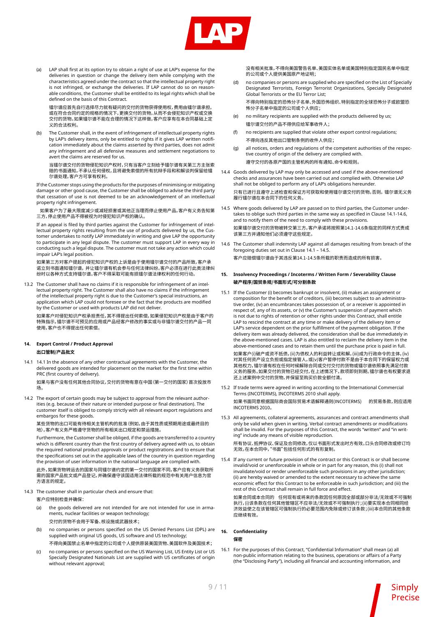

(a) LAP shall first at its option try to obtain a right of use at LAP's expense for the deliveries in question or change the delivery item while complying with the characteristics agreed under the contract so that the intellectual property right is not infringed, or exchange the deliveries. If LAP cannot do so on reasonable conditions, the Customer shall be entitled to its legal rights which shall be defined on the basis of this Contract.

 镭尔谱应首先自行选择尽力就有疑问的交付的货物获得使用权,费用由镭尔谱承担, 或在符合合同约定的规格的情况下,更换交付的货物,从而不会侵犯知识产权或交换 交付的货物。如果镭尔谱不能在合理的情况下这样做,客户应享有在本合同基础上定 义的合法权利。

(b) The Customer shall, in the event of infringement of intellectual property rights by LAP's delivery items, only be entitled to rights if it gives LAP written notification immediately about the claims asserted by third parties, does not admit any infringement and all defensive measures and settlement negotiations to avert the claims are reserved for us.

 当镭尔谱交付的货物侵犯知识产权时,只有当客户立刻给予镭尔谱有关第三方主张索 赔的书面通知,不承认任何侵权,且将避免索偿的所有抗辩手段和和解谈判保留给镭 尔谱处理,客户方可享有权利。

 If the Customer stops using the products for the purposes of minimising or mitigating damage or other good cause, the Customer shall be obliged to advise the third party that cessation of use is not deemed to be an acknowledgement of an intellectual property right infringement.

如果客户为了最大限度减少或减轻损害或其他正当理而停止使用产品,客户有义务告知第 三方,停止使用产品不得被视为对侵犯知识产权的确认。

If an appeal is filed by third parties against the Customer for infringement of intellectual property rights resulting from the use of products delivered by us, the Customer undertakes to notify LAP immediately in writing and give LAP the opportunity to participate in any legal dispute. The customer must support LAP in every way in conducting such a legal dispute. The customer must not take any action which could impair LAP's legal position.

如果第三方对客户提起的侵犯知识产权的上诉是由于使用镭尔谱交付的产品所致,客户承 诺立刻书面通知镭尔谱,并让镭尔谱有机会参与任何法律纠纷。客户必须在进行此类法律纠 纷时以各种方式支持镭尔谱。客户不得采取可能有损镭尔谱法律权利的任何行动。

13.2 The Customer shall have no claims if it is responsible for infringement of an intellectual property right. The Customer shall also have no claims if the infringement of the intellectual property right is due to the Customer's special instructions, an application which LAP could not foresee or the fact that the products are modified by the Customer or used with products LAP did not deliver.

如果客户对侵犯知识产权承担责任,其不得提出任何索偿,如果侵犯知识产权是由于客户的 特殊指示,镭尔谱不可预见的应用或产品经客户修改的事实或与非镭尔谱交付的产品一同 使用,客户也不得提出任何索偿。

#### **14. Export Control / Product Approval 出口管制/产品批文**

14.1 14.1 In the absence of any other contractual agreements with the Customer, the delivered goods are intended for placement on the market for the first time within PRC (first country of delivery).

如果与客户没有任何其他合同协议,交付的货物有意在中国(第一交付的国家)首次投放市 场。

14.2 The export of certain goods may be subject to approval from the relevant authorities (e.g. because of their nature or intended purpose or final destination). The customer itself is obliged to comply strictly with all relevant export regulations and embargos for these goods.

某些货物的出口可能有待相关主管机构的批准(例如,由于其性质或预期用途或最终目的 地)。客户有义务严格遵守货物的所有相关出口规定和禁运措施。

Furthermore, the Customer shall be obliged, if the goods are transferred to a country which is different country than the first country of delivery agreed with us, to obtain the required national product approvals or product registrations and to ensure that the specifications set out in the applicable laws of the country in question regarding the provision of user information in the national language are complied with.

此外,如果货物转运去的国家与同镭尔谱约定的第一交付的国家不同,客户应有义务获取所 需的国家产品批文或产品登记,并确保遵守该国适用法律所载的规范中有关用户信息为官 方语言的规定。

- 14.3 The customer shall in particular check and ensure that:
	- 客户应特别检查并确保:
	- (a) the goods delivered are not intended for are not intended for use in armaments, nuclear facilities or weapon technology;
		- 交付的货物不会用于军备、核设施或武器技术;
	- (b) no companies or persons specified on the US Denied Persons List (DPL) are supplied with original US goods, US software and US technology; 不得向美国禁止名单中指定的公司或个人提供原装美国货物、美国软件及美国技术;
	- (c) no companies or persons specified on the US Warning List, US Entity List or US Specially Designated Nationals List are supplied with US certificates of origin without relevant approval;

 没有相关批准,不得向美国警告名单、美国实体名单或美国特别指定国民名单中指定 的公司或个人提供美国原产地证明;

(d) no companies or persons are supplied who are specified on the List of Specially Designated Terrorists, Foreign Terrorist Organizations, Specially Designated Global Terrorists or the EU Terror List;

 不得向特别指定的恐怖分子名单、外国恐怖组织、特别指定的全球恐怖分子或欧盟恐 怖分子名单中指定的公司或个人供应;

- (e) no military recipients are supplied with the products delivered by us; 镭尔谱交付的产品不得供应给军事收件人;
- (f) no recipients are supplied that violate other export control regulations; 不得向违反其他出口管制条例的收件人供应;
- (g) all notices, orders and regulations of the competent authorities of the respective country of origin of the delivery are complied with. 遵守交付的各原产国的主管机构的所有通知、命令和规则。
- 14.4 Goods delivered by LAP may only be accessed and used if the above-mentioned checks and assurances have been carried out and complied with. Otherwise LAP shall not be obliged to perform any of LAP's obligations hereunder.

只有已进行且遵守上述检查和保证方可获取和使用镭尔谱交付的货物。否则, 镭尔谱无义务 履行镭尔谱在本合同下的任何义务。

- 14.5 Where goods delivered by LAP are passed on to third parties, the Customer undertakes to oblige such third parties in the same way as specified in Clause 14.1-14.6, and to notify them of the need to comply with these provisions. 如果镭尔谱交付的货物被转交第三方,客户承诺将按照第14.1-14.6条指定的同样方式责成 该第三方并通知他们必须遵守这些规定。
- 14.6 The Customer shall indemnity LAP against all damages resulting from breach of the foregoing duties set out in Clause 14.1 – 14.5. 客户应赔偿镭尔谱由于其违反第14.1-14.5条所载的职责而造成的所有损害。

**15. Insolvency Proceedings / Incoterms / Written Form / Severability Clause 破产程序/国贸条规/书面形式/可分割条款**

- 15.1 If the Customer (i) becomes bankrupt or insolvent, (ii) makes an assignment or composition for the benefit or of creditors, (iii) becomes subject to an administrative order, (iv) an encumbrances takes possession of, or a receiver is appointed in respect of, any of its assets, or (v) the Customer's suspension of payment which is not due to rights of retention or other rights under this Contract, shall entitle LAP to rescind the contract at any time or make delivery of the delivery item or LAP's service dependent on the prior fulfillment of the payment obligation. If the delivery item was already delivered, the consideration shall be due immediately in the above-mentioned cases. LAP is also entitled to reclaim the delivery item in the above-mentioned cases and to retain them until the purchase price is paid in full. 如果客户(i)破产或资不抵债,(ii)为债权人的利益转让或和解,(iii)成为行政命令的主体,(iv) 对其任何资产设立负担或指定接管人,或(v)客户暂停付款不是由于本合同下的保留权力或 其他权力,镭尔谱有权在任何时候解除合同或交付交付的货物或镭尔谱依照事先满足付款 义务的服务。如果交付的货物已经交付,在上述情况下,款项即刻到期。镭尔谱也有权要求退 还上述案例中交付的货物,并保留至购买价款全额付清。
- 15.2 If trade terms were agreed in writing according to the International Commercial Terms (INCOTERMS), INCOTERMS 2010 shall apply. 如果书面同意根据国际商会国际贸易术语解释通则(INCOTERMS) 的贸易条款,则应适用 INCOTERMS 2010。
- 15.3 All agreements, collateral agreements, assurances and contract amendments shall only be valid when given in writing. Verbal contract amendments or modifications shall be invalid. For the purposes of this Contract, the words "written" and "in writing" include any means of visible reproduction.

所有协议、抵押协议、保证及合同修改,仅以书面形式发出时方有效。口头合同修改或修订均 无效。在本合同中,"书面"包括任何形式的有形复制。

15.4 If any current or future provision of the contract or this Contract is or shall become invalid/void or unenforceable in whole or in part for any reason, this (i) shall not invalidate/void or render unenforceable such provisions in any other jurisdiction; (ii) are hereby waived or amended to the extent necessary to achieve the same economic effect for this Contract to be enforceable in such jurisdiction; and (iii) the rest of this Contract shall remain in full force and effect.

如果合同或本合同的 任何现有或将来的条款因任何原因全部或部分非法/无效或不可强制 执行,(i)该条款在任何其他管辖区不应非法/无效或不可强制执行;(ii)要实现本合同相同经 济效益使之在该管辖区可强制执行的必要范围内免除或修订该条款;(iii)本合同的其他条款 应继续有效。

#### **16. Confidentiality**

 **保密**

16.1 For the purposes of this Contract, "Confidential Information" shall mean (a) all non-public information relating to the business, operations or affairs of a Party (the "Disclosing Party"), including all financial and accounting information, and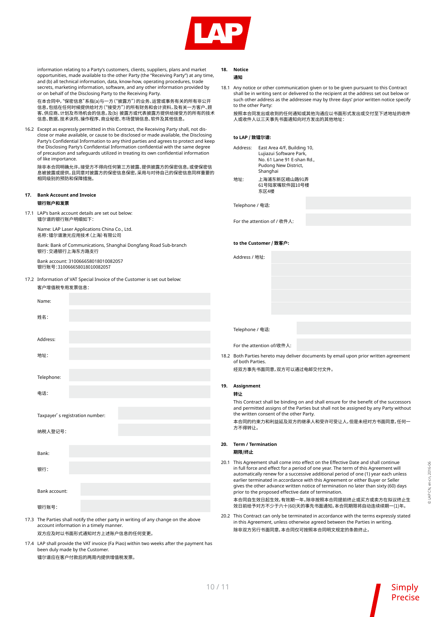

information relating to a Party's customers, clients, suppliers, plans and market opportunities, made available to the other Party (the "Receiving Party") at any time, and (b) all technical information, data, know-how, operating procedures, trade secrets, marketing information, software, and any other information provided by or on behalf of the Disclosing Party to the Receiving Party.

在本合同中,"保密信息"系指(a)与一方("披露方")的业务、运营或事务有关的所有非公开 信息,包括在任何时候提供给对方("接受方")的所有财务和会计资料,及有关一方客户、顾 客、供应商、计划及市场机会的信息,及(b) 披露方或代表披露方提供给接受方的所有的技术 信息、数据、技术诀窍、操作程序、商业秘密、市场营销信息、软件及其他信息。

16.2 Except as expressly permitted in this Contract, the Receiving Party shall, not disclose or make available, or cause to be disclosed or made available, the Disclosing Party's Confidential Information to any third parties and agrees to protect and keep the Disclosing Party's Confidential Information confidential with the same degree of precaution and safeguards utilized in treating its own confidential information of like importance.

除非本合同明确允许,接受方不得向任何第三方披露、提供披露方的保密信息,或使保密信 息被披露或提供,且同意对披露方的保密信息保密,采用与对待自己的保密信息同样重要的 相同级别的预防和保障措施。

## **17. Bank Account and Invoice**

#### **银行账户和发票**

17.1 LAP's bank account details are set out below: 镭尔谱的银行账户明细如下:

> Name: LAP Laser Applications China Co., Ltd. 名称:镭尔谱激光应用技术(上海)有限公司

Bank: Bank of Communications, Shanghai Dongfang Road Sub-branch 银行:交通银行上海东方路支行

Bank account: 310066658018010082057 银行账号:310066658018010082057

17.2 Information of VAT Special Invoice of the Customer is set out below: 客户增值税专用发票信息:

| Name:                                                                                                                          |  |  |  |  |  |
|--------------------------------------------------------------------------------------------------------------------------------|--|--|--|--|--|
| 姓名:                                                                                                                            |  |  |  |  |  |
|                                                                                                                                |  |  |  |  |  |
| Address:                                                                                                                       |  |  |  |  |  |
| 地址:                                                                                                                            |  |  |  |  |  |
|                                                                                                                                |  |  |  |  |  |
| Telephone:                                                                                                                     |  |  |  |  |  |
| 电话:                                                                                                                            |  |  |  |  |  |
|                                                                                                                                |  |  |  |  |  |
| Taxpayer' s registration number:                                                                                               |  |  |  |  |  |
| 纳税人登记号:                                                                                                                        |  |  |  |  |  |
|                                                                                                                                |  |  |  |  |  |
| Bank:                                                                                                                          |  |  |  |  |  |
| 银行:                                                                                                                            |  |  |  |  |  |
|                                                                                                                                |  |  |  |  |  |
| Bank account:                                                                                                                  |  |  |  |  |  |
| 银行账号:                                                                                                                          |  |  |  |  |  |
| 17.3 The Parties shall notify the other party in writing of any change on the above<br>account information in a timely manner. |  |  |  |  |  |

双方应及时以书面形式通知对方上述账户信息的任何变更。

17.4 LAP shall provide the VAT invoice (Fa Piao) within two weeks after the payment has been duly made by the Customer. 镭尔谱应在客户付款后的两周内提供增值税发票。

## **18. Notice**

18.1 Any notice or other communication given or to be given pursuant to this Contract shall be in writing sent or delivered to the recipient at the address set out below or such other address as the addressee may by three days' prior written notice specify to the other Party:

按照本合同发出或收到的任何通知或其他沟通应以书面形式发出或交付至下述地址的收件 人或收件人以三天事先书面通知向对方发出的其他地址:

#### **to LAP / 致镭尔谱:**

|      |                                                                                                                                                                                                                        | , *********                                                                                                                                                                                                                                                                                                                                                                                                                                                                                 |  |  |  |  |  |
|------|------------------------------------------------------------------------------------------------------------------------------------------------------------------------------------------------------------------------|---------------------------------------------------------------------------------------------------------------------------------------------------------------------------------------------------------------------------------------------------------------------------------------------------------------------------------------------------------------------------------------------------------------------------------------------------------------------------------------------|--|--|--|--|--|
|      | Address:                                                                                                                                                                                                               | East Area 4/F, Building 10,<br>Lujiazui Software Park,<br>No. 61 Lane 91 E-shan Rd.,<br>Pudong New District,<br>Shanghai                                                                                                                                                                                                                                                                                                                                                                    |  |  |  |  |  |
|      | 地址:                                                                                                                                                                                                                    | 上海浦东新区峨山路91弄<br>61号陆家嘴软件园10号楼<br>东区4楼                                                                                                                                                                                                                                                                                                                                                                                                                                                       |  |  |  |  |  |
|      | Telephone / 电话:                                                                                                                                                                                                        |                                                                                                                                                                                                                                                                                                                                                                                                                                                                                             |  |  |  |  |  |
|      |                                                                                                                                                                                                                        | For the attention of / 收件人:                                                                                                                                                                                                                                                                                                                                                                                                                                                                 |  |  |  |  |  |
|      | to the Customer / 致客户:                                                                                                                                                                                                 |                                                                                                                                                                                                                                                                                                                                                                                                                                                                                             |  |  |  |  |  |
|      | Address / 地址:                                                                                                                                                                                                          |                                                                                                                                                                                                                                                                                                                                                                                                                                                                                             |  |  |  |  |  |
|      |                                                                                                                                                                                                                        |                                                                                                                                                                                                                                                                                                                                                                                                                                                                                             |  |  |  |  |  |
|      |                                                                                                                                                                                                                        |                                                                                                                                                                                                                                                                                                                                                                                                                                                                                             |  |  |  |  |  |
|      |                                                                                                                                                                                                                        |                                                                                                                                                                                                                                                                                                                                                                                                                                                                                             |  |  |  |  |  |
|      |                                                                                                                                                                                                                        |                                                                                                                                                                                                                                                                                                                                                                                                                                                                                             |  |  |  |  |  |
|      | Telephone / 电话:                                                                                                                                                                                                        |                                                                                                                                                                                                                                                                                                                                                                                                                                                                                             |  |  |  |  |  |
|      |                                                                                                                                                                                                                        | For the attention of/收件人:                                                                                                                                                                                                                                                                                                                                                                                                                                                                   |  |  |  |  |  |
|      | of both Parties.                                                                                                                                                                                                       | 18.2 Both Parties hereto may deliver documents by email upon prior written agreement                                                                                                                                                                                                                                                                                                                                                                                                        |  |  |  |  |  |
|      |                                                                                                                                                                                                                        | 经双方事先书面同意,双方可以通过电邮交付文件。                                                                                                                                                                                                                                                                                                                                                                                                                                                                     |  |  |  |  |  |
| 19.  | <b>Assignment</b>                                                                                                                                                                                                      |                                                                                                                                                                                                                                                                                                                                                                                                                                                                                             |  |  |  |  |  |
|      | 转让                                                                                                                                                                                                                     |                                                                                                                                                                                                                                                                                                                                                                                                                                                                                             |  |  |  |  |  |
|      | This Contract shall be binding on and shall ensure for the benefit of the successors<br>and permitted assigns of the Parties but shall not be assigned by any Party without<br>the written consent of the other Party. |                                                                                                                                                                                                                                                                                                                                                                                                                                                                                             |  |  |  |  |  |
|      | 方不得转让。                                                                                                                                                                                                                 | 本合同的约束力和利益延及双方的继承人和受许可受让人,但是未经对方书面同意,任何一                                                                                                                                                                                                                                                                                                                                                                                                                                                    |  |  |  |  |  |
| 20.  | <b>Term / Termination</b>                                                                                                                                                                                              |                                                                                                                                                                                                                                                                                                                                                                                                                                                                                             |  |  |  |  |  |
|      | 期限/终止                                                                                                                                                                                                                  |                                                                                                                                                                                                                                                                                                                                                                                                                                                                                             |  |  |  |  |  |
| 20.1 |                                                                                                                                                                                                                        | This Agreement shall come into effect on the Effective Date and shall continue<br>in full force and effect for a period of one year. The term of this Agreement will<br>automatically renew for a successive additional period of one (1) year each unless<br>earlier terminated in accordance with this Agreement or either Buyer or Seller<br>gives the other advance written notice of termination no later than sixty (60) days<br>prior to the proposed effective date of termination. |  |  |  |  |  |

本合同自生效日起生效,有效期一年。除非按照本合同提前终止或买方或卖方在拟议终止生 效日前给予对方不少于六十(60)天的事先书面通知,本合同期限将自动连续续期一(1)年。

20.2 This Contract can only be terminated in accordance with the terms expressly stated in this Agreement, unless otherwise agreed between the Parties in writing. 除非双方另行书面同意,本合同仅可按照本合同明文规定的条款终止,